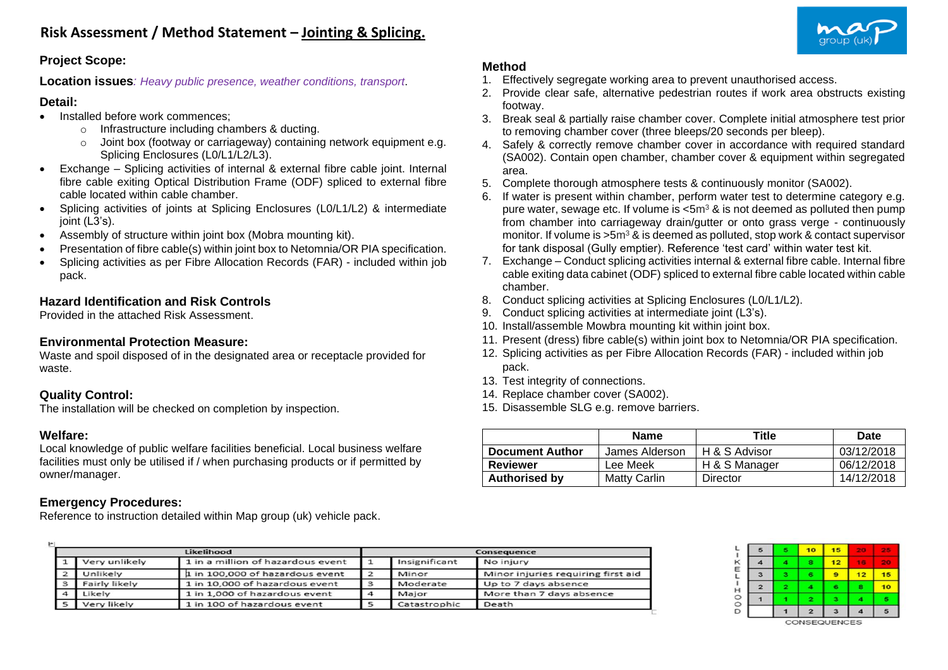

#### **Project Scope:**

**Location issues***: Heavy public presence, weather conditions, transport*.

#### **Detail:**

- Installed before work commences;
	- o Infrastructure including chambers & ducting.
	- o Joint box (footway or carriageway) containing network equipment e.g. Splicing Enclosures (L0/L1/L2/L3).
- Exchange Splicing activities of internal & external fibre cable joint. Internal fibre cable exiting Optical Distribution Frame (ODF) spliced to external fibre cable located within cable chamber.
- Splicing activities of joints at Splicing Enclosures (L0/L1/L2) & intermediate joint (L3's).
- Assembly of structure within joint box (Mobra mounting kit).
- Presentation of fibre cable(s) within joint box to Netomnia/OR PIA specification.
- Splicing activities as per Fibre Allocation Records (FAR) included within job pack.

# **Hazard Identification and Risk Controls**

Provided in the attached Risk Assessment.

## **Environmental Protection Measure:**

Waste and spoil disposed of in the designated area or receptacle provided for waste.

## **Quality Control:**

The installation will be checked on completion by inspection.

## **Welfare:**

Local knowledge of public welfare facilities beneficial. Local business welfare facilities must only be utilised if / when purchasing products or if permitted by owner/manager.

## **Emergency Procedures:**

Reference to instruction detailed within Map group (uk) vehicle pack.

## **Method**

- 1. Effectively segregate working area to prevent unauthorised access.
- 2. Provide clear safe, alternative pedestrian routes if work area obstructs existing footway.
- 3. Break seal & partially raise chamber cover. Complete initial atmosphere test prior to removing chamber cover (three bleeps/20 seconds per bleep).
- 4. Safely & correctly remove chamber cover in accordance with required standard (SA002). Contain open chamber, chamber cover & equipment within segregated area.
- 5. Complete thorough atmosphere tests & continuously monitor (SA002).
- 6. If water is present within chamber, perform water test to determine category e.g. pure water, sewage etc. If volume is  $\leq 5m^3$  & is not deemed as polluted then pump from chamber into carriageway drain/gutter or onto grass verge - continuously monitor. If volume is  $>5m^3$  & is deemed as polluted, stop work & contact supervisor for tank disposal (Gully emptier). Reference 'test card' within water test kit.
- 7. Exchange Conduct splicing activities internal & external fibre cable. Internal fibre cable exiting data cabinet (ODF) spliced to external fibre cable located within cable chamber.
- 8. Conduct splicing activities at Splicing Enclosures (L0/L1/L2).
- 9. Conduct splicing activities at intermediate joint (L3's).
- 10. Install/assemble Mowbra mounting kit within joint box.
- 11. Present (dress) fibre cable(s) within joint box to Netomnia/OR PIA specification.
- 12. Splicing activities as per Fibre Allocation Records (FAR) included within job pack.
- 13. Test integrity of connections.
- 14. Replace chamber cover (SA002).
- 15. Disassemble SLG e.g. remove barriers.

|                        | <b>Name</b>         | <b>Title</b>  | Date       |
|------------------------|---------------------|---------------|------------|
| <b>Document Author</b> | James Alderson      | H & S Advisor | 03/12/2018 |
| Reviewer               | Lee Meek            | H & S Manager | 06/12/2018 |
| <b>Authorised by</b>   | <b>Matty Carlin</b> | Director      | 14/12/2018 |

|     |               | Likelihood                        |                | Consequence   |                                    |  |  |  |
|-----|---------------|-----------------------------------|----------------|---------------|------------------------------------|--|--|--|
|     | Very unlikely | 1 in a million of hazardous event |                | Insignificant | No injury                          |  |  |  |
|     | Unlikely      | 1 in 100,000 of hazardous event   | $\overline{2}$ | Minor         | Minor injuries requiring first aid |  |  |  |
| 3   | Fairly likely | 1 in 10,000 of hazardous event    | з              | Moderate      | Up to 7 days absence               |  |  |  |
|     | Likely        | 1 in 1,000 of hazardous event     |                | Major         | More than 7 days absence           |  |  |  |
| 5 I | Very likely   | 1 in 100 of hazardous event       |                | Catastrophic  | Death                              |  |  |  |

| 5            | 5                       | 10             | 15 | <b>ZO</b> | -   |
|--------------|-------------------------|----------------|----|-----------|-----|
| 4            | 4                       | 8              | 12 | 16        | - 1 |
| 3            | з                       | 6              | 9  | 12        | 15  |
| $\mathbf{z}$ | $\overline{\mathbf{z}}$ |                | 6  | 8         | 10  |
|              |                         | 2              | з  |           |     |
|              |                         | $\overline{2}$ | з  |           | 5   |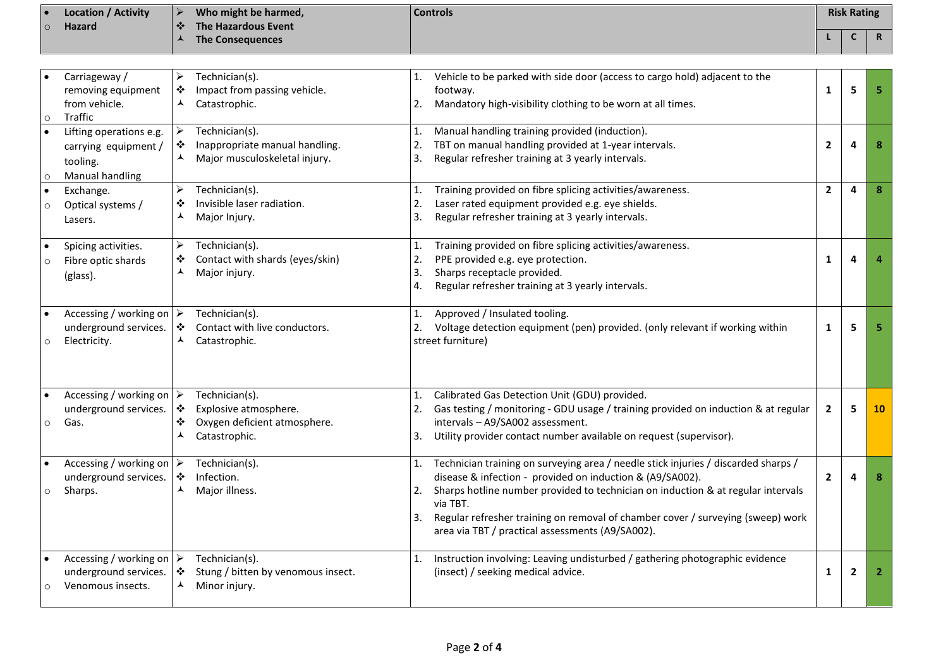| $\overline{\phantom{a}}$ | <b>Location / Activity</b> |           | Who might be harmed,    | <b>Controls</b> | <b>Risk Rating</b> |             |
|--------------------------|----------------------------|-----------|-------------------------|-----------------|--------------------|-------------|
| $\circ$                  | Hazard                     | $\bullet$ | The Hazardous Event     |                 |                    |             |
|                          |                            |           | <b>The Consequences</b> |                 |                    | $\mathbf R$ |

| $\circ$              | Carriageway /<br>removing equipment<br>from vehicle.<br>Traffic                       | Technician(s).<br>➤<br>Impact from passing vehicle.<br>❖<br>Catastrophic.<br>▴                                                                  | Vehicle to be parked with side door (access to cargo hold) adjacent to the<br>1.<br>footway.<br>Mandatory high-visibility clothing to be worn at all times.<br>2.                                                                                                                                                                                                                                        | 1              | 5              | 5            |
|----------------------|---------------------------------------------------------------------------------------|-------------------------------------------------------------------------------------------------------------------------------------------------|----------------------------------------------------------------------------------------------------------------------------------------------------------------------------------------------------------------------------------------------------------------------------------------------------------------------------------------------------------------------------------------------------------|----------------|----------------|--------------|
| $\bullet$<br>$\circ$ | Lifting operations e.g.<br>carrying equipment /<br>tooling.<br>Manual handling        | ➤<br>Technician(s).<br>❖<br>Inappropriate manual handling.<br>ᄉ<br>Major musculoskeletal injury.                                                | Manual handling training provided (induction).<br>1.<br>TBT on manual handling provided at 1-year intervals.<br>2.<br>Regular refresher training at 3 yearly intervals.<br>3.                                                                                                                                                                                                                            | $\overline{2}$ | 4              | 8            |
| $\bullet$<br>$\circ$ | Exchange.<br>Optical systems /<br>Lasers.                                             | ➤<br>Technician(s).<br>Invisible laser radiation.<br>❖<br>⅄<br>Major Injury.                                                                    | Training provided on fibre splicing activities/awareness.<br>1.<br>Laser rated equipment provided e.g. eye shields.<br>2.<br>Regular refresher training at 3 yearly intervals.<br>3.                                                                                                                                                                                                                     | $\overline{2}$ | $\overline{a}$ | 8            |
| $\circ$              | Spicing activities.<br>Fibre optic shards<br>(glass).                                 | Technician(s).<br>➤<br>Contact with shards (eyes/skin)<br>❖<br>▲<br>Major injury.                                                               | Training provided on fibre splicing activities/awareness.<br>1.<br>PPE provided e.g. eye protection.<br>2.<br>Sharps receptacle provided.<br>3.<br>4.<br>Regular refresher training at 3 yearly intervals.                                                                                                                                                                                               | 1              | 4              |              |
| $\circ$              | Accessing / working on<br>underground services.<br>Electricity.                       | Technician(s).<br>➤<br>Contact with live conductors.<br>❖<br>Catastrophic.<br>$\blacktriangle$                                                  | Approved / Insulated tooling.<br>1.<br>Voltage detection equipment (pen) provided. (only relevant if working within<br>2.<br>street furniture)                                                                                                                                                                                                                                                           | $\mathbf{1}$   | 5              | 5            |
| $\circ$              | Accessing / working on<br>underground services.<br>Gas.                               | Technician(s).<br>$\blacktriangleright$<br>Explosive atmosphere.<br>❖<br>❖<br>Oxygen deficient atmosphere.<br>Catastrophic.<br>$\blacktriangle$ | Calibrated Gas Detection Unit (GDU) provided.<br>1.<br>Gas testing / monitoring - GDU usage / training provided on induction & at regular<br>2.<br>intervals - A9/SA002 assessment.<br>Utility provider contact number available on request (supervisor).<br>3.                                                                                                                                          | $\overline{2}$ | 5              | 10           |
|                      | Accessing / working on $\triangleright$<br>underground services.<br>Sharps.           | Technician(s).<br>❖<br>Infection.<br>▲<br>Major illness.                                                                                        | Technician training on surveying area / needle stick injuries / discarded sharps /<br>1.<br>disease & infection - provided on induction & (A9/SA002).<br>Sharps hotline number provided to technician on induction & at regular intervals<br>2.<br>via TBT.<br>Regular refresher training on removal of chamber cover / surveying (sweep) work<br>3.<br>area via TBT / practical assessments (A9/SA002). | $\overline{2}$ | 4              | 8            |
| $\circ$              | Accessing / working on $\triangleright$<br>underground services.<br>Venomous insects. | Technician(s).<br>$\frac{1}{2}$<br>Stung / bitten by venomous insect.<br>Minor injury.<br>$\blacktriangle$                                      | Instruction involving: Leaving undisturbed / gathering photographic evidence<br>1.<br>(insect) / seeking medical advice.                                                                                                                                                                                                                                                                                 | 1              | $\overline{2}$ | $\mathbf{2}$ |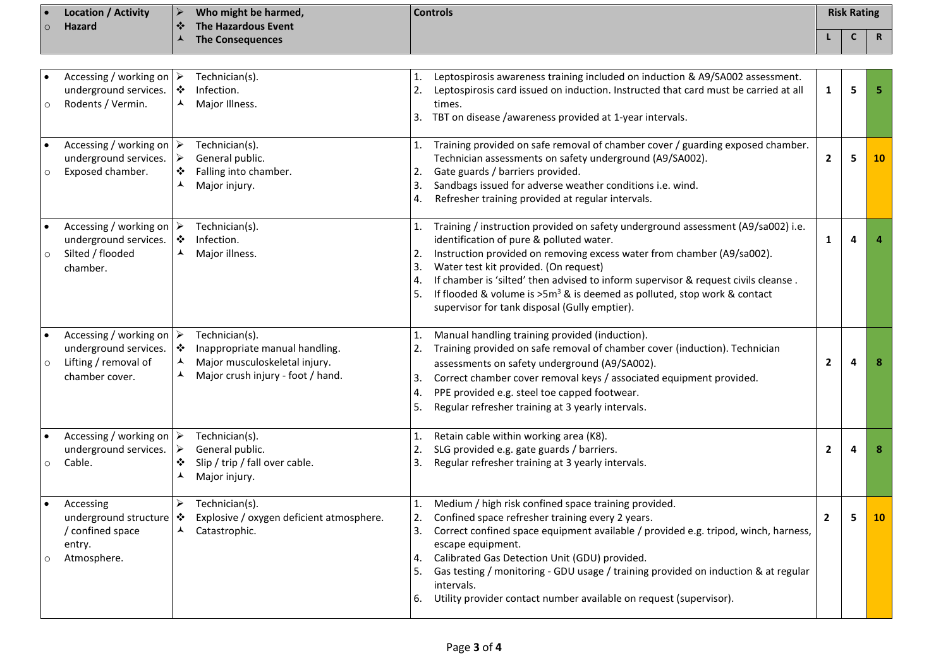|         | <b>Location / Activity</b> | Who might be harmed,                  | <b>Controls</b> | <b>Risk Rating</b> |  |
|---------|----------------------------|---------------------------------------|-----------------|--------------------|--|
| $\circ$ | <b>Hazard</b>              | The Hazardous Event<br>$\blacksquare$ |                 |                    |  |
|         |                            | <b>The Consequences</b>               |                 |                    |  |

| $\circ$              | Accessing / working on $\triangleright$<br>underground services.<br>Rodents / Vermin.                      | ❖<br>ᄉ                                    | Technician(s).<br>Infection.<br>Major Illness.                                                                         | 1.<br>2.<br>3.                   | Leptospirosis awareness training included on induction & A9/SA002 assessment.<br>Leptospirosis card issued on induction. Instructed that card must be carried at all<br>times.<br>TBT on disease /awareness provided at 1-year intervals.                                                                                                                                                                                                                             | $\mathbf{1}$   | 5 | 5  |
|----------------------|------------------------------------------------------------------------------------------------------------|-------------------------------------------|------------------------------------------------------------------------------------------------------------------------|----------------------------------|-----------------------------------------------------------------------------------------------------------------------------------------------------------------------------------------------------------------------------------------------------------------------------------------------------------------------------------------------------------------------------------------------------------------------------------------------------------------------|----------------|---|----|
| $\circ$              | Accessing / working on $\triangleright$<br>underground services.<br>Exposed chamber.                       | $\blacktriangleright$<br>❖<br>▲           | Technician(s).<br>General public.<br>Falling into chamber.<br>Major injury.                                            | 1.<br>2.<br>3.<br>4.             | Training provided on safe removal of chamber cover / guarding exposed chamber.<br>Technician assessments on safety underground (A9/SA002).<br>Gate guards / barriers provided.<br>Sandbags issued for adverse weather conditions i.e. wind.<br>Refresher training provided at regular intervals.                                                                                                                                                                      | $\mathbf{2}$   | 5 | 10 |
| $\circ$              | Accessing / working on $\triangleright$<br>underground services.<br>Silted / flooded<br>chamber.           | $\ddot{\cdot}$<br>▲                       | Technician(s).<br>Infection.<br>Major illness.                                                                         | 1.<br>2.<br>3.<br>4.<br>5.       | Training / instruction provided on safety underground assessment (A9/sa002) i.e.<br>identification of pure & polluted water.<br>Instruction provided on removing excess water from chamber (A9/sa002).<br>Water test kit provided. (On request)<br>If chamber is 'silted' then advised to inform supervisor & request civils cleanse.<br>If flooded & volume is $>5m^3$ & is deemed as polluted, stop work & contact<br>supervisor for tank disposal (Gully emptier). | $\mathbf{1}$   | 4 |    |
| $\circ$              | Accessing / working on $\triangleright$<br>underground services.<br>Lifting / removal of<br>chamber cover. | $\ddot{\bullet}$<br>$\blacktriangle$<br>⋏ | Technician(s).<br>Inappropriate manual handling.<br>Major musculoskeletal injury.<br>Major crush injury - foot / hand. | 1.<br>2.<br>3.<br>4.<br>5.       | Manual handling training provided (induction).<br>Training provided on safe removal of chamber cover (induction). Technician<br>assessments on safety underground (A9/SA002).<br>Correct chamber cover removal keys / associated equipment provided.<br>PPE provided e.g. steel toe capped footwear.<br>Regular refresher training at 3 yearly intervals.                                                                                                             | $\mathbf{2}$   | 4 | 8  |
| $\circ$              | Accessing / working on $\triangleright$<br>underground services.<br>Cable.                                 | ➤<br>❖<br>⋏                               | Technician(s).<br>General public.<br>Slip / trip / fall over cable.<br>Major injury.                                   | 1.<br>2.<br>3.                   | Retain cable within working area (K8).<br>SLG provided e.g. gate guards / barriers.<br>Regular refresher training at 3 yearly intervals.                                                                                                                                                                                                                                                                                                                              | $\mathbf{2}$   | 4 | 8  |
| $\bullet$<br>$\circ$ | Accessing<br>underground structure<br>/ confined space<br>entry.<br>Atmosphere.                            | ➤<br>❖<br>▲                               | Technician(s).<br>Explosive / oxygen deficient atmosphere.<br>Catastrophic.                                            | 1.<br>2.<br>3.<br>4.<br>5.<br>6. | Medium / high risk confined space training provided.<br>Confined space refresher training every 2 years.<br>Correct confined space equipment available / provided e.g. tripod, winch, harness,<br>escape equipment.<br>Calibrated Gas Detection Unit (GDU) provided.<br>Gas testing / monitoring - GDU usage / training provided on induction & at regular<br>intervals.<br>Utility provider contact number available on request (supervisor).                        | $\overline{2}$ | 5 | 10 |